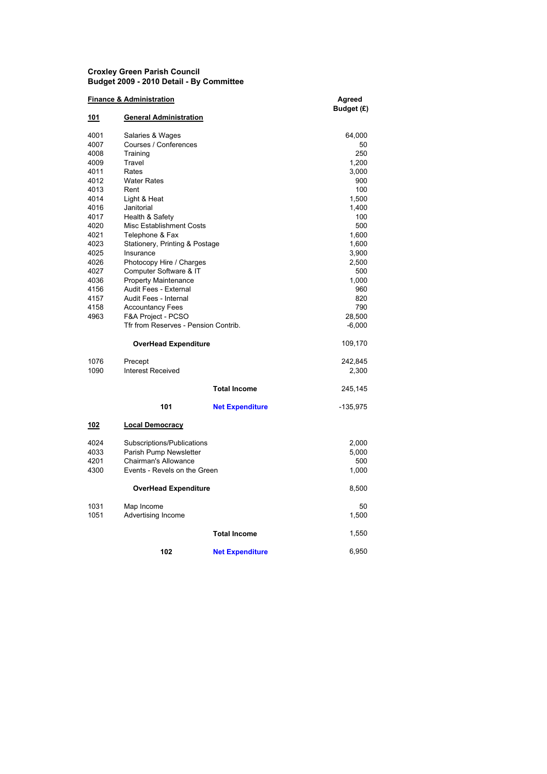## Croxley Green Parish Council Budget 2009 - 2010 Detail - By Committee

| <b>Finance &amp; Administration</b> |                                                |                        | Agreed     |
|-------------------------------------|------------------------------------------------|------------------------|------------|
|                                     |                                                |                        | Budget (£) |
| <u>101</u>                          | <b>General Administration</b>                  |                        |            |
| 4001                                | Salaries & Wages                               |                        | 64,000     |
| 4007                                | Courses / Conferences                          |                        | 50         |
| 4008                                | Training                                       |                        | 250        |
| 4009                                | Travel                                         |                        | 1,200      |
| 4011                                | Rates                                          |                        | 3,000      |
| 4012                                | <b>Water Rates</b>                             |                        | 900        |
| 4013                                | Rent                                           |                        | 100        |
| 4014                                | Light & Heat                                   |                        | 1,500      |
| 4016                                | Janitorial                                     |                        | 1,400      |
| 4017                                | Health & Safety                                |                        | 100        |
| 4020                                | <b>Misc Establishment Costs</b>                |                        | 500        |
| 4021                                | Telephone & Fax                                |                        | 1,600      |
| 4023                                | Stationery, Printing & Postage                 |                        | 1,600      |
| 4025                                | Insurance                                      |                        | 3,900      |
| 4026                                | Photocopy Hire / Charges                       |                        | 2,500      |
| 4027                                | Computer Software & IT                         |                        | 500        |
| 4036                                | <b>Property Maintenance</b>                    |                        | 1,000      |
| 4156                                | Audit Fees - External                          |                        | 960        |
| 4157                                | Audit Fees - Internal                          |                        | 820        |
| 4158                                | <b>Accountancy Fees</b>                        |                        | 790        |
| 4963                                | F&A Project - PCSO                             |                        | 28,500     |
|                                     | Tfr from Reserves - Pension Contrib.           |                        | $-6,000$   |
|                                     | <b>OverHead Expenditure</b>                    |                        | 109,170    |
| 1076                                | Precept                                        |                        | 242,845    |
| 1090                                | <b>Interest Received</b>                       |                        | 2,300      |
|                                     |                                                | <b>Total Income</b>    | 245,145    |
|                                     | 101                                            | <b>Net Expenditure</b> | -135,975   |
| 102                                 | <b>Local Democracy</b>                         |                        |            |
| 4024                                |                                                |                        | 2,000      |
| 4033                                | Subscriptions/Publications                     |                        | 5,000      |
| 4201                                | Parish Pump Newsletter<br>Chairman's Allowance |                        | 500        |
| 4300                                | Events - Revels on the Green                   |                        | 1,000      |
|                                     |                                                |                        |            |
| <b>OverHead Expenditure</b>         |                                                |                        | 8,500      |
| 1031                                | Map Income                                     |                        | 50         |
| 1051                                | Advertising Income                             |                        | 1,500      |
|                                     |                                                |                        |            |
|                                     |                                                | <b>Total Income</b>    | 1,550      |
|                                     | 102                                            | <b>Net Expenditure</b> | 6,950      |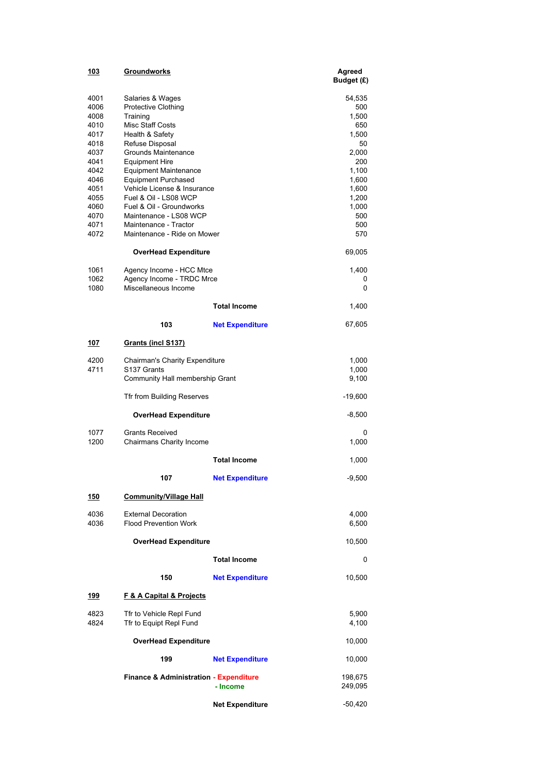| 103          | Groundworks                                               |                        | Agreed<br>Budget (£) |  |
|--------------|-----------------------------------------------------------|------------------------|----------------------|--|
| 4001         | Salaries & Wages                                          |                        | 54,535               |  |
| 4006         | Protective Clothing                                       |                        | 500<br>1,500         |  |
| 4008<br>4010 |                                                           | Training               |                      |  |
| 4017         | Health & Safety                                           | Misc Staff Costs       |                      |  |
| 4018         | Refuse Disposal                                           |                        | 1,500<br>50          |  |
| 4037         | Grounds Maintenance                                       |                        | 2,000                |  |
| 4041         | <b>Equipment Hire</b>                                     |                        | 200                  |  |
| 4042         | <b>Equipment Maintenance</b>                              |                        | 1,100                |  |
| 4046<br>4051 | <b>Equipment Purchased</b><br>Vehicle License & Insurance |                        | 1,600<br>1,600       |  |
| 4055         | Fuel & Oil - LS08 WCP                                     |                        | 1,200                |  |
| 4060         | Fuel & Oil - Groundworks                                  |                        | 1,000                |  |
| 4070         | Maintenance - LS08 WCP                                    |                        | 500                  |  |
| 4071         | Maintenance - Tractor                                     |                        | 500                  |  |
| 4072         | Maintenance - Ride on Mower                               |                        | 570                  |  |
|              | <b>OverHead Expenditure</b>                               |                        | 69,005               |  |
| 1061         | Agency Income - HCC Mtce                                  |                        | 1,400                |  |
| 1062<br>1080 | Agency Income - TRDC Mrce<br>Miscellaneous Income         |                        | 0<br>0               |  |
|              |                                                           | <b>Total Income</b>    | 1,400                |  |
|              | 103                                                       | <b>Net Expenditure</b> | 67,605               |  |
| 107          | <b>Grants (incl S137)</b>                                 |                        |                      |  |
| 4200         | Chairman's Charity Expenditure                            |                        | 1,000                |  |
| 4711         | S <sub>137</sub> Grants                                   |                        | 1,000                |  |
|              | Community Hall membership Grant                           |                        | 9,100                |  |
|              | Tfr from Building Reserves                                |                        | -19,600              |  |
|              | OverHead Expenditure                                      |                        | $-8,500$             |  |
| 1077         | <b>Grants Received</b>                                    |                        | 0                    |  |
| 1200         | Chairmans Charity Income                                  |                        | 1,000                |  |
|              |                                                           | <b>Total Income</b>    | 1,000                |  |
|              | 107                                                       | <b>Net Expenditure</b> | $-9,500$             |  |
| <u>150</u>   | <b>Community/Village Hall</b>                             |                        |                      |  |
| 4036         | <b>External Decoration</b>                                |                        | 4,000                |  |
| 4036         | <b>Flood Prevention Work</b>                              |                        | 6,500                |  |
|              | <b>OverHead Expenditure</b>                               |                        | 10,500               |  |
|              |                                                           | <b>Total Income</b>    | 0                    |  |
|              | 150                                                       | <b>Net Expenditure</b> | 10,500               |  |
| <u> 199</u>  | <b>F &amp; A Capital &amp; Projects</b>                   |                        |                      |  |
| 4823<br>4824 | Tfr to Vehicle Repl Fund<br>Tfr to Equipt Repl Fund       |                        | 5,900<br>4,100       |  |
|              | <b>OverHead Expenditure</b>                               |                        | 10,000               |  |
|              | 199                                                       | <b>Net Expenditure</b> | 10,000               |  |
|              | <b>Finance &amp; Administration - Expenditure</b>         | - Income               | 198,675<br>249,095   |  |
|              |                                                           | <b>Net Expenditure</b> | -50,420              |  |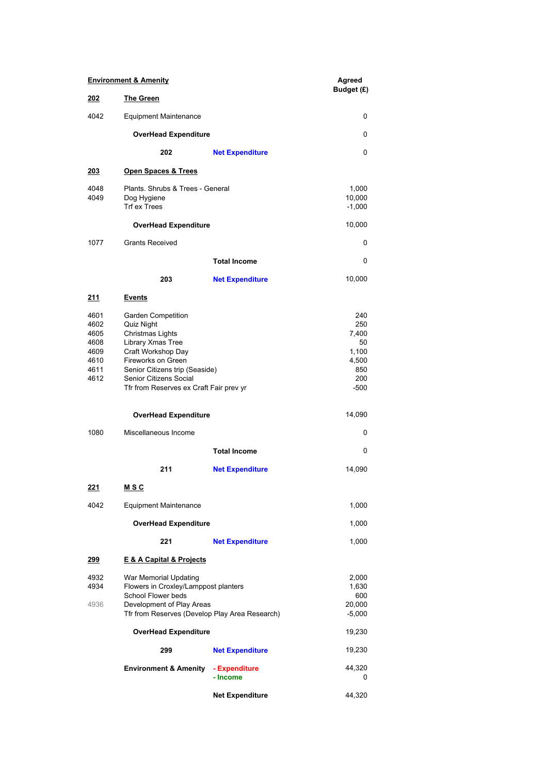| <b>Environment &amp; Amenity</b>                             |                                                                                                                                                                                                                                     |                           | Agreed<br>Budget (£)                                                |
|--------------------------------------------------------------|-------------------------------------------------------------------------------------------------------------------------------------------------------------------------------------------------------------------------------------|---------------------------|---------------------------------------------------------------------|
| 202                                                          | <b>The Green</b>                                                                                                                                                                                                                    |                           |                                                                     |
| 4042                                                         | <b>Equipment Maintenance</b>                                                                                                                                                                                                        | 0                         |                                                                     |
|                                                              | <b>OverHead Expenditure</b>                                                                                                                                                                                                         |                           | 0                                                                   |
|                                                              | 202                                                                                                                                                                                                                                 | <b>Net Expenditure</b>    | 0                                                                   |
| <u> 203</u>                                                  | Open Spaces & Trees                                                                                                                                                                                                                 |                           |                                                                     |
| 4048<br>4049                                                 | Plants. Shrubs & Trees - General<br>Dog Hygiene<br><b>Trf ex Trees</b>                                                                                                                                                              |                           | 1,000<br>10,000<br>$-1,000$                                         |
|                                                              | <b>OverHead Expenditure</b>                                                                                                                                                                                                         |                           | 10,000                                                              |
| 1077                                                         | <b>Grants Received</b>                                                                                                                                                                                                              |                           | 0                                                                   |
|                                                              |                                                                                                                                                                                                                                     | <b>Total Income</b>       | 0                                                                   |
|                                                              | 203                                                                                                                                                                                                                                 | <b>Net Expenditure</b>    | 10,000                                                              |
| <u>211</u>                                                   | <u>Events</u>                                                                                                                                                                                                                       |                           |                                                                     |
| 4601<br>4602<br>4605<br>4608<br>4609<br>4610<br>4611<br>4612 | <b>Garden Competition</b><br>Quiz Night<br>Christmas Lights<br>Library Xmas Tree<br>Craft Workshop Day<br>Fireworks on Green<br>Senior Citizens trip (Seaside)<br>Senior Citizens Social<br>Tfr from Reserves ex Craft Fair prev yr |                           | 240<br>250<br>7,400<br>50<br>1,100<br>4,500<br>850<br>200<br>$-500$ |
|                                                              | <b>OverHead Expenditure</b>                                                                                                                                                                                                         |                           | 14,090                                                              |
| 1080                                                         | Miscellaneous Income                                                                                                                                                                                                                |                           | 0                                                                   |
|                                                              |                                                                                                                                                                                                                                     | <b>Total Income</b>       | 0                                                                   |
|                                                              | 211                                                                                                                                                                                                                                 | <b>Net Expenditure</b>    | 14,090                                                              |
| <u> 221</u>                                                  | <u>MSC</u>                                                                                                                                                                                                                          |                           |                                                                     |
| 4042                                                         | <b>Equipment Maintenance</b>                                                                                                                                                                                                        |                           | 1,000                                                               |
|                                                              | <b>OverHead Expenditure</b>                                                                                                                                                                                                         |                           | 1,000                                                               |
|                                                              | 221                                                                                                                                                                                                                                 | <b>Net Expenditure</b>    | 1,000                                                               |
| <u> 299</u>                                                  | E & A Capital & Projects                                                                                                                                                                                                            |                           |                                                                     |
| 4932<br>4934<br>4936                                         | War Memorial Updating<br>Flowers in Croxley/Lamppost planters<br>School Flower beds<br>Development of Play Areas<br>Tfr from Reserves (Develop Play Area Research)                                                                  |                           | 2,000<br>1,630<br>600<br>20,000<br>$-5,000$                         |
|                                                              | <b>OverHead Expenditure</b>                                                                                                                                                                                                         |                           | 19,230                                                              |
|                                                              | 299                                                                                                                                                                                                                                 | <b>Net Expenditure</b>    | 19,230                                                              |
|                                                              | <b>Environment &amp; Amenity</b>                                                                                                                                                                                                    | - Expenditure<br>- Income | 44,320<br>0                                                         |
|                                                              |                                                                                                                                                                                                                                     | <b>Net Expenditure</b>    | 44,320                                                              |